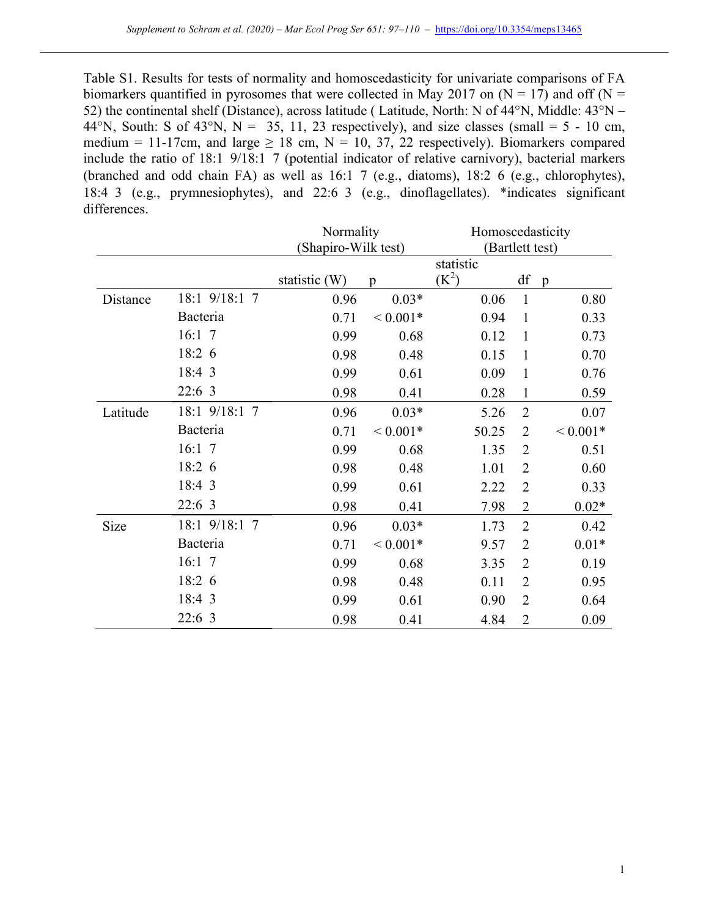Table S1. Results for tests of normality and homoscedasticity for univariate comparisons of FA biomarkers quantified in pyrosomes that were collected in May 2017 on  $(N = 17)$  and off  $(N = 17)$ 52) the continental shelf (Distance), across latitude ( Latitude, North: N of 44°N, Middle: 43°N – 44°N, South: S of 43°N, N = 35, 11, 23 respectively), and size classes (small = 5 - 10 cm, medium = 11-17cm, and large  $\geq$  18 cm, N = 10, 37, 22 respectively). Biomarkers compared include the ratio of 18:1 9/18:1 7 (potential indicator of relative carnivory), bacterial markers (branched and odd chain FA) as well as 16:1 7 (e.g., diatoms), 18:2 6 (e.g., chlorophytes), 18:4 3 (e.g., prymnesiophytes), and 22:6 3 (e.g., dinoflagellates). \*indicates significant differences.

|          |               | Normality           |              | Homoscedasticity |                |                |  |
|----------|---------------|---------------------|--------------|------------------|----------------|----------------|--|
|          |               | (Shapiro-Wilk test) |              | (Bartlett test)  |                |                |  |
|          |               |                     | statistic    |                  |                |                |  |
|          |               | statistic (W)       | p            | $(K^2)$          | df             | $\mathfrak{p}$ |  |
| Distance | 18:1 9/18:1 7 | 0.96                | $0.03*$      | 0.06             | $\mathbf{1}$   | 0.80           |  |
|          | Bacteria      | 0.71                | ${}< 0.001*$ | 0.94             | $\mathbf{1}$   | 0.33           |  |
|          | 16:1 7        | 0.99                | 0.68         | 0.12             | $\mathbf{1}$   | 0.73           |  |
|          | 18:2 6        | 0.98                | 0.48         | 0.15             | $\mathbf{1}$   | 0.70           |  |
|          | 18:4 3        | 0.99                | 0.61         | 0.09             | $\mathbf{1}$   | 0.76           |  |
|          | 22:6 3        | 0.98                | 0.41         | 0.28             | $\mathbf{1}$   | 0.59           |  |
| Latitude | 18:1 9/18:1 7 | 0.96                | $0.03*$      | 5.26             | $\overline{2}$ | 0.07           |  |
|          | Bacteria      | 0.71                | ${}< 0.001*$ | 50.25            | $\overline{2}$ | ${}< 0.001*$   |  |
|          | 16:1 7        | 0.99                | 0.68         | 1.35             | $\overline{2}$ | 0.51           |  |
|          | 18:2 6        | 0.98                | 0.48         | 1.01             | $\overline{2}$ | 0.60           |  |
|          | 18:4 3        | 0.99                | 0.61         | 2.22             | $\overline{2}$ | 0.33           |  |
|          | 22:6 3        | 0.98                | 0.41         | 7.98             | $\overline{2}$ | $0.02*$        |  |
| Size     | 18:1 9/18:1 7 | 0.96                | $0.03*$      | 1.73             | $\overline{2}$ | 0.42           |  |
|          | Bacteria      | 0.71                | ${}< 0.001*$ | 9.57             | $\overline{2}$ | $0.01*$        |  |
|          | 16:1 7        | 0.99                | 0.68         | 3.35             | $\overline{2}$ | 0.19           |  |
|          | 18:2 6        | 0.98                | 0.48         | 0.11             | $\overline{2}$ | 0.95           |  |
|          | 18:4 3        | 0.99                | 0.61         | 0.90             | $\overline{2}$ | 0.64           |  |
|          | 22:6 3        | 0.98                | 0.41         | 4.84             | $\overline{2}$ | 0.09           |  |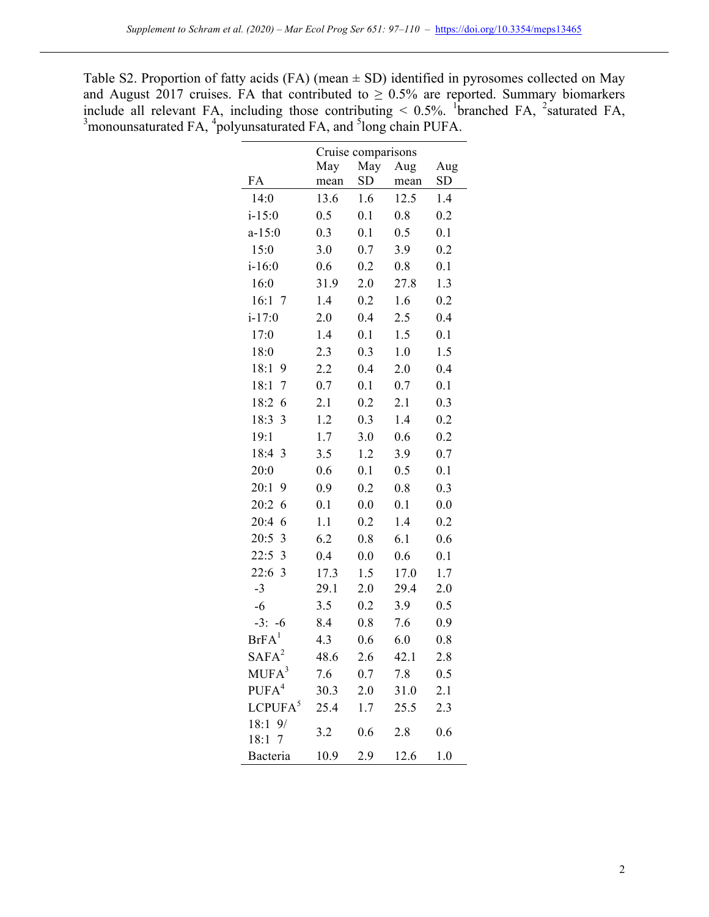Table S2. Proportion of fatty acids (FA) (mean  $\pm$  SD) identified in pyrosomes collected on May and August 2017 cruises. FA that contributed to  $\geq 0.5\%$  are reported. Summary biomarkers include all relevant FA, including those contributing  $\leq 0.5\%$ . <sup>1</sup> branched FA, <sup>2</sup> saturated FA, <sup>3</sup> monounsaturated FA, <sup>4</sup> polyunsaturated FA, and <sup>5</sup> long chain PUFA.

|                          | Cruise comparisons |           |      |     |  |  |  |
|--------------------------|--------------------|-----------|------|-----|--|--|--|
|                          | May                | May       | Aug  | Aug |  |  |  |
| FA                       | mean               | <b>SD</b> | mean | SD  |  |  |  |
| 14:0                     | 13.6               | 1.6       | 12.5 | 1.4 |  |  |  |
| $i - 15:0$               | 0.5                | 0.1       | 0.8  | 0.2 |  |  |  |
| $a-15:0$                 | 0.3                | 0.1       | 0.5  | 0.1 |  |  |  |
| 15:0                     | 3.0                | 0.7       | 3.9  | 0.2 |  |  |  |
| $i - 16:0$               | 0.6                | 0.2       | 0.8  | 0.1 |  |  |  |
| 16:0                     | 31.9               | 2.0       | 27.8 | 1.3 |  |  |  |
| 16:1 7                   | 1.4                | 0.2       | 1.6  | 0.2 |  |  |  |
| $i - 17:0$               | 2.0                | 0.4       | 2.5  | 0.4 |  |  |  |
| 17:0                     | 1.4                | 0.1       | 1.5  | 0.1 |  |  |  |
| 18:0                     | 2.3                | 0.3       | 1.0  | 1.5 |  |  |  |
| 18:1<br>9                | 2.2                | 0.4       | 2.0  | 0.4 |  |  |  |
| 18:1<br>$\boldsymbol{7}$ | 0.7                | 0.1       | 0.7  | 0.1 |  |  |  |
| 18:2<br>6                | 2.1                | 0.2       | 2.1  | 0.3 |  |  |  |
| 18:3<br>3                | 1.2                | 0.3       | 1.4  | 0.2 |  |  |  |
| 19:1                     | 1.7                | 3.0       | 0.6  | 0.2 |  |  |  |
| 18:4<br>3                | 3.5                | 1.2       | 3.9  | 0.7 |  |  |  |
| 20:0                     | 0.6                | 0.1       | 0.5  | 0.1 |  |  |  |
| 20:1<br>9                | 0.9                | 0.2       | 0.8  | 0.3 |  |  |  |
| 20:2<br>6                | 0.1                | 0.0       | 0.1  | 0.0 |  |  |  |
| 20:4<br>6                | 1.1                | 0.2       | 1.4  | 0.2 |  |  |  |
| 20:5<br>$\mathfrak{Z}$   | 6.2                | 0.8       | 6.1  | 0.6 |  |  |  |
| 22:5<br>3                | 0.4                | 0.0       | 0.6  | 0.1 |  |  |  |
| 22:6<br>3                | 17.3               | 1.5       | 17.0 | 1.7 |  |  |  |
| $-3$                     | 29.1               | 2.0       | 29.4 | 2.0 |  |  |  |
| $-6$                     | 3.5                | 0.2       | 3.9  | 0.5 |  |  |  |
| $-3: -6$                 | 8.4                | 0.8       | 7.6  | 0.9 |  |  |  |
| BrFA <sup>1</sup>        | 4.3                | 0.6       | 6.0  | 0.8 |  |  |  |
| $SAFA^2$                 | 48.6               | 2.6       | 42.1 | 2.8 |  |  |  |
| MUFA <sup>3</sup>        | 7.6                | 0.7       | 7.8  | 0.5 |  |  |  |
| PUFA <sup>4</sup>        | 30.3               | 2.0       | 31.0 | 2.1 |  |  |  |
| LCPUFA <sup>5</sup>      | 25.4               | 1.7       | 25.5 | 2.3 |  |  |  |
| 18:1 9/<br>18:1 7        | 3.2                | 0.6       | 2.8  | 0.6 |  |  |  |
| Bacteria                 | 10.9               | 2.9       | 12.6 | 1.0 |  |  |  |